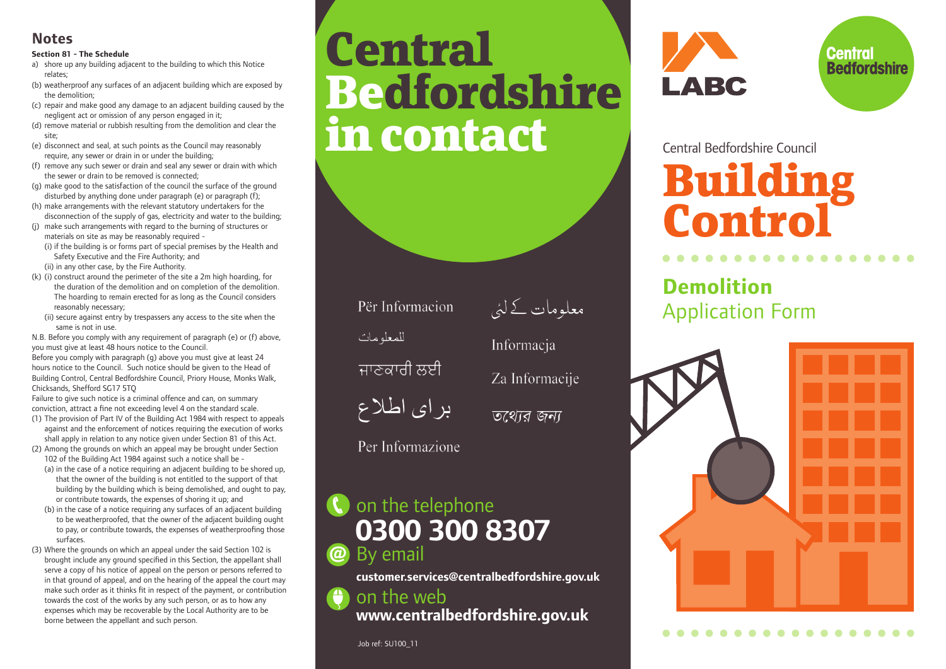### **Notes**

#### **Section 81 - The Schedule**

- a) shore up any building adjacent to the building to which this Notice relates;
- (b) weatherproof any surfaces of an adjacent building which are exposed by the demolition;

(c) repair and make good any damage to an adjacent building caused by the negligent act or omission of any person engaged in it;

(d) remove material or rubbish resulting from the demolition and clear the site;

(e) disconnect and seal, at such points as the Council may reasonably require, any sewer or drain in or under the building;

(f) remove any such sewer or drain and seal any sewer or drain with which the sewer or drain to be removed is connected;

(g) make good to the satisfaction of the council the surface of the ground disturbed by anything done under paragraph (e) or paragraph (f);

(h) make arrangements with the relevant statutory undertakers for the disconnection of the supply of gas, electricity and water to the building:

- (j) make such arrangements with regard to the burning of structures or materials on site as may be reasonably required -
	- (i) if the building is or forms part of special premises by the Health and Safety Executive and the Fire Authority; and

(ii) in any other case, by the Fire Authority.

- (k) (i) construct around the perimeter of the site a 2m high hoarding, for the duration of the demolition and on completion of the demolition. The hoarding to remain erected for as long as the Council considers reasonably necessary;
- (ii) secure against entry by trespassers any access to the site when the same is not in use.

N.B. Before you comply with any requirement of paragraph (e) or (f) above, you must give at least 48 hours notice to the Council.

Before you comply with paragraph (g) above you must give at least 24 hours notice to the Council. Such notice should be given to the Head of Building Control, Central Bedfordshire Council, Priory House, Monks Walk, Chicksands, Shefford SG17 5TQ

Failure to give such notice is a criminal offence and can, on summary conviction, attract a fine not exceeding level 4 on the standard scale. (1) The provision of Part IV of the Building Act 1984 with respect to appeals

- against and the enforcement of notices requiring the execution of works shall apply in relation to any notice given under Section 81 of this Act.
- (2) Among the grounds on which an appeal may be brought under Section 102 of the Building Act 1984 against such a notice shall be -

(a) in the case of a notice requiring an adjacent building to be shored up, that the owner of the building is not entitled to the support of that building by the building which is being demolished, and ought to pay, or contribute towards, the expenses of shoring it up; and

- (b) in the case of a notice requiring any surfaces of an adjacent building to be weatherproofed, that the owner of the adjacent building ought to pay, or contribute towards, the expenses of weatherproofing those surfaces.
- (3) Where the grounds on which an appeal under the said Section 102 is brought include any ground specified in this Section, the appellant shall serve a copy of his notice of appeal on the person or persons referred to in that ground of appeal, and on the hearing of the appeal the court may make such order as it thinks fit in respect of the payment, or contribution towards the cost of the works by any such person, or as to how any expenses which may be recoverable by the Local Authority are to be borne between the appellant and such person.

### **Central Bedfordshire** in contact Central Bedfordshire Council

Për Informacion للمعله مات

ਜਾਣਕਾਰੀ ਲਈ



তথোর জন্য

معلومات کے لئی

Za Informacije

Informacia

Per Informazione

#### **(**) on the telephone **0300 300 8307** By email **@**

**customer.services@centralbedfordshire.gov.uk**

on the web  $\bigoplus$ 

**www.centralbedfordshire.gov.uk**





### **Building Control**

### **Demolition** Application Form